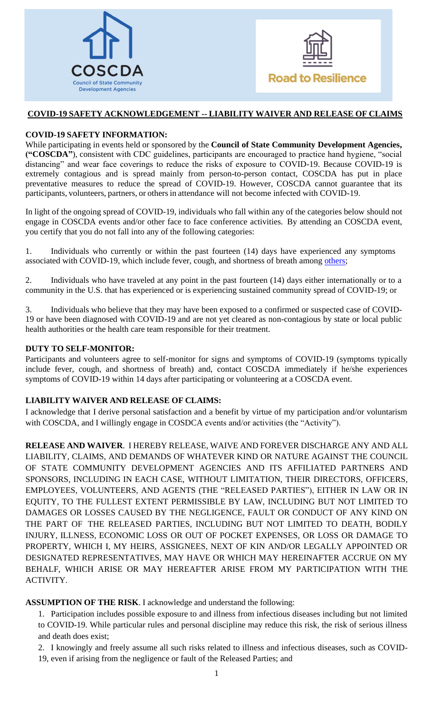



## **COVID-19 SAFETY ACKNOWLEDGEMENT -- LIABILITY WAIVER AND RELEASE OF CLAIMS**

## **COVID-19 SAFETY INFORMATION:**

While participating in events held or sponsored by the **Council of State Community Development Agencies, ("COSCDA"**), consistent with CDC guidelines, participants are encouraged to practice hand hygiene, "social distancing" and wear face coverings to reduce the risks of exposure to COVID-19. Because COVID-19 is extremely contagious and is spread mainly from person-to-person contact, COSCDA has put in place preventative measures to reduce the spread of COVID-19. However, COSCDA cannot guarantee that its participants, volunteers, partners, or others in attendance will not become infected with COVID-19.

In light of the ongoing spread of COVID-19, individuals who fall within any of the categories below should not engage in COSCDA events and/or other face to face conference activities. By attending an COSCDA event, you certify that you do not fall into any of the following categories:

1. Individuals who currently or within the past fourteen (14) days have experienced any symptoms associated with COVID-19, which include fever, cough, and shortness of breath among [others;](https://www.cdc.gov/coronavirus/2019-ncov/symptoms-testing/symptoms.html)

2. Individuals who have traveled at any point in the past fourteen (14) days either internationally or to a community in the U.S. that has experienced or is experiencing sustained community spread of COVID-19; or

3. Individuals who believe that they may have been exposed to a confirmed or suspected case of COVID-19 or have been diagnosed with COVID-19 and are not yet cleared as non-contagious by state or local public health authorities or the health care team responsible for their treatment.

## **DUTY TO SELF-MONITOR:**

Participants and volunteers agree to self-monitor for signs and symptoms of COVID-19 (symptoms typically include fever, cough, and shortness of breath) and, contact COSCDA immediately if he/she experiences symptoms of COVID-19 within 14 days after participating or volunteering at a COSCDA event.

## **LIABILITY WAIVER AND RELEASE OF CLAIMS:**

I acknowledge that I derive personal satisfaction and a benefit by virtue of my participation and/or voluntarism with COSCDA, and I willingly engage in COSDCA events and/or activities (the "Activity").

**RELEASE AND WAIVER**. I HEREBY RELEASE, WAIVE AND FOREVER DISCHARGE ANY AND ALL LIABILITY, CLAIMS, AND DEMANDS OF WHATEVER KIND OR NATURE AGAINST THE COUNCIL OF STATE COMMUNITY DEVELOPMENT AGENCIES AND ITS AFFILIATED PARTNERS AND SPONSORS, INCLUDING IN EACH CASE, WITHOUT LIMITATION, THEIR DIRECTORS, OFFICERS, EMPLOYEES, VOLUNTEERS, AND AGENTS (THE "RELEASED PARTIES"), EITHER IN LAW OR IN EQUITY, TO THE FULLEST EXTENT PERMISSIBLE BY LAW, INCLUDING BUT NOT LIMITED TO DAMAGES OR LOSSES CAUSED BY THE NEGLIGENCE, FAULT OR CONDUCT OF ANY KIND ON THE PART OF THE RELEASED PARTIES, INCLUDING BUT NOT LIMITED TO DEATH, BODILY INJURY, ILLNESS, ECONOMIC LOSS OR OUT OF POCKET EXPENSES, OR LOSS OR DAMAGE TO PROPERTY, WHICH I, MY HEIRS, ASSIGNEES, NEXT OF KIN AND/OR LEGALLY APPOINTED OR DESIGNATED REPRESENTATIVES, MAY HAVE OR WHICH MAY HEREINAFTER ACCRUE ON MY BEHALF, WHICH ARISE OR MAY HEREAFTER ARISE FROM MY PARTICIPATION WITH THE ACTIVITY.

**ASSUMPTION OF THE RISK**. I acknowledge and understand the following:

1. Participation includes possible exposure to and illness from infectious diseases including but not limited to COVID-19. While particular rules and personal discipline may reduce this risk, the risk of serious illness and death does exist;

2. I knowingly and freely assume all such risks related to illness and infectious diseases, such as COVID-19, even if arising from the negligence or fault of the Released Parties; and